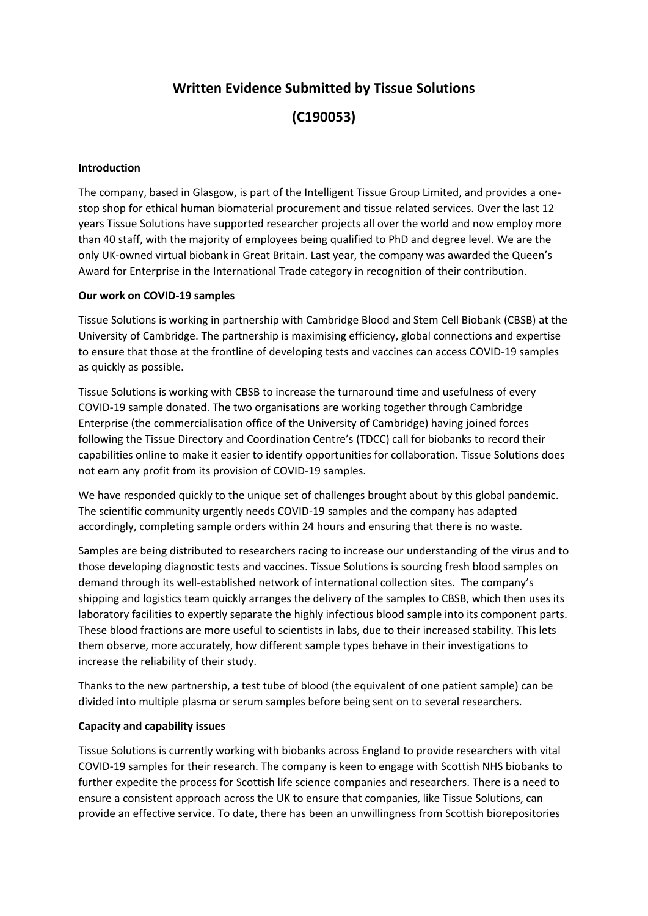# **Written Evidence Submitted by Tissue Solutions**

**(C190053)**

#### **Introduction**

The company, based in Glasgow, is part of the Intelligent Tissue Group Limited, and provides a onestop shop for ethical human biomaterial procurement and tissue related services. Over the last 12 years Tissue Solutions have supported researcher projects all over the world and now employ more than 40 staff, with the majority of employees being qualified to PhD and degree level. We are the only UK-owned virtual biobank in Great Britain. Last year, the company was awarded the Queen's Award for Enterprise in the International Trade category in recognition of their contribution.

### **Our work on COVID-19 samples**

Tissue Solutions is working in partnership with Cambridge Blood and Stem Cell Biobank (CBSB) at the University of Cambridge. The partnership is maximising efficiency, global connections and expertise to ensure that those at the frontline of developing tests and vaccines can access COVID-19 samples as quickly as possible.

Tissue Solutions is working with CBSB to increase the turnaround time and usefulness of every COVID-19 sample donated. The two organisations are working together through Cambridge Enterprise (the commercialisation office of the University of Cambridge) having joined forces following the Tissue Directory and Coordination Centre's (TDCC) call for biobanks to record their capabilities online to make it easier to identify opportunities for collaboration. Tissue Solutions does not earn any profit from its provision of COVID-19 samples.

We have responded quickly to the unique set of challenges brought about by this global pandemic. The scientific community urgently needs COVID-19 samples and the company has adapted accordingly, completing sample orders within 24 hours and ensuring that there is no waste.

Samples are being distributed to researchers racing to increase our understanding of the virus and to those developing diagnostic tests and vaccines. Tissue Solutions is sourcing fresh blood samples on demand through its well-established network of international collection sites. The company's shipping and logistics team quickly arranges the delivery of the samples to CBSB, which then uses its laboratory facilities to expertly separate the highly infectious blood sample into its component parts. These blood fractions are more useful to scientists in labs, due to their increased stability. This lets them observe, more accurately, how different sample types behave in their investigations to increase the reliability of their study.

Thanks to the new partnership, a test tube of blood (the equivalent of one patient sample) can be divided into multiple plasma or serum samples before being sent on to several researchers.

### **Capacity and capability issues**

Tissue Solutions is currently working with biobanks across England to provide researchers with vital COVID-19 samples for their research. The company is keen to engage with Scottish NHS biobanks to further expedite the process for Scottish life science companies and researchers. There is a need to ensure a consistent approach across the UK to ensure that companies, like Tissue Solutions, can provide an effective service. To date, there has been an unwillingness from Scottish biorepositories